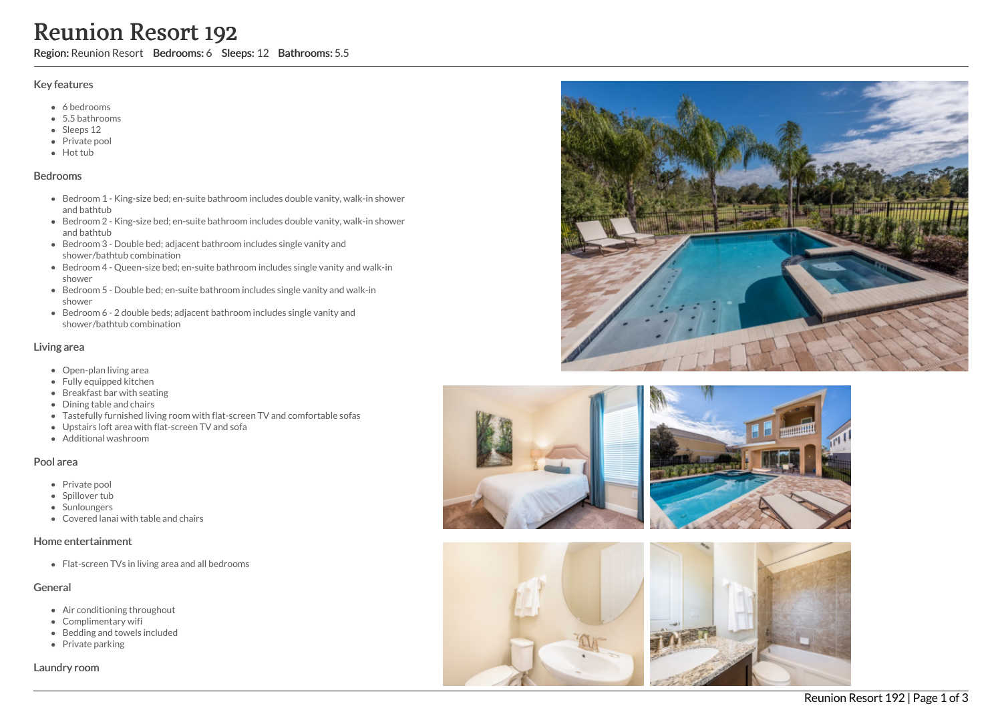# Reunion Resort 192

Region: Reunion Resort Bedrooms: 6 Sleeps: 12 Bathrooms: 5.5

#### Key features

- 6 b e d r o o m s
- 5.5 b a t h r o o m s
- Sleeps 12
- Private pool
- Hot tub

#### **Bedrooms**

- Bedroom 1 King-size bed; en-suite bathroom includes double vanity, walk-in shower and bathtub
- Bedroom 2 King-size bed; en-suite bathroom includes double vanity, walk-in shower a n d b a t h t u b
- Bedroom 3 Double bed; adjacent bathroom includes single vanity and shower/bathtub combination
- Bedroom 4 Queen-size bed; en-suite bathroom includes single vanity and walk-in s h o w e r
- Bedroom 5 Double bed; en-suite bathroom includes single vanity and walk-in s h o w e r
- Bedroom 6 2 double beds; adjacent bathroom includes single vanity and shower/bathtub combination

#### Living area

- Open-plan living area
- Fully equipped kitchen
- Breakfast bar with seating
- Dining table and chairs
- Tastefully furnished living room with flat-screen TV and comfortable sofas
- Upstairs loft area with flat-screen TV and sofa
- A d ditio n al w a s h r o o m

#### Pool area

- Private pool
- Spillover tub
- Sunloungers
- Covered lanai with table and chairs

#### Home entertainment

Flat-screen TVs in living area and all bedrooms

#### General

- Air conditioning throughout
- Complimentary wifi
- Bedding and towels in clu d e d
- Private parking

Laundry room









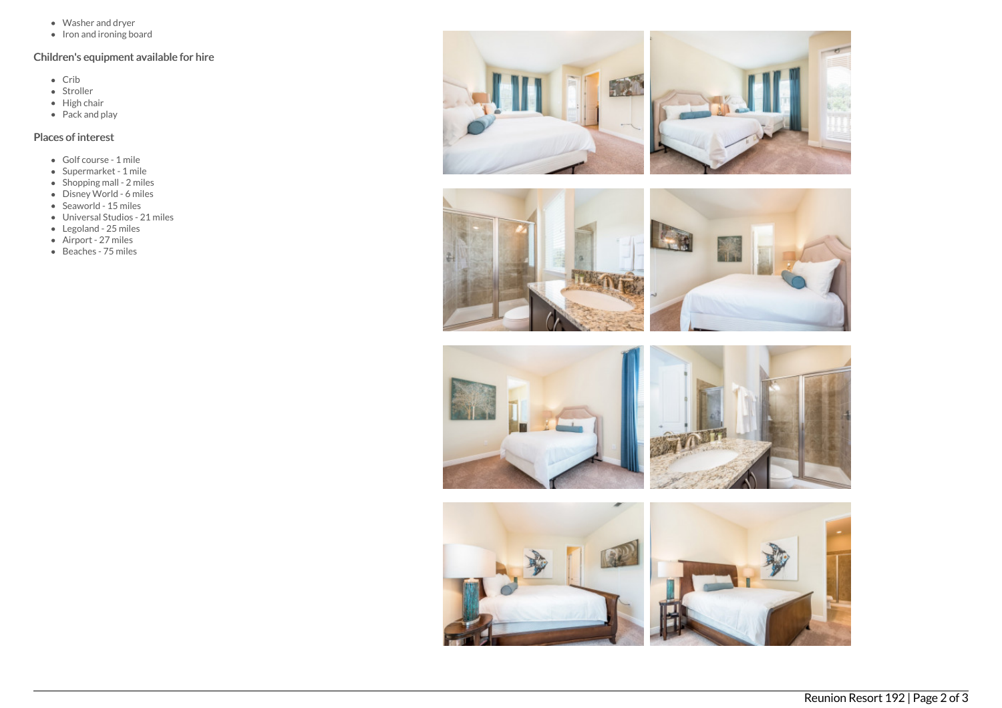- Washer and dryer
- Iron and ironing board

## Children's equipment available for hire

- $\bullet$  Crib
- Stroller
- $\bullet$  High chair
- $\bullet$  Pack and play

### Places of interest

- Golf course 1 mile
- Supermarket 1 mile
- Shopping mall 2 miles
- Disney World 6 miles
- $\bullet$  Seaworld 15 miles
- Universal Studios 21 miles
- Legoland 25 miles
- Airport 27 miles
- Beaches 75 miles